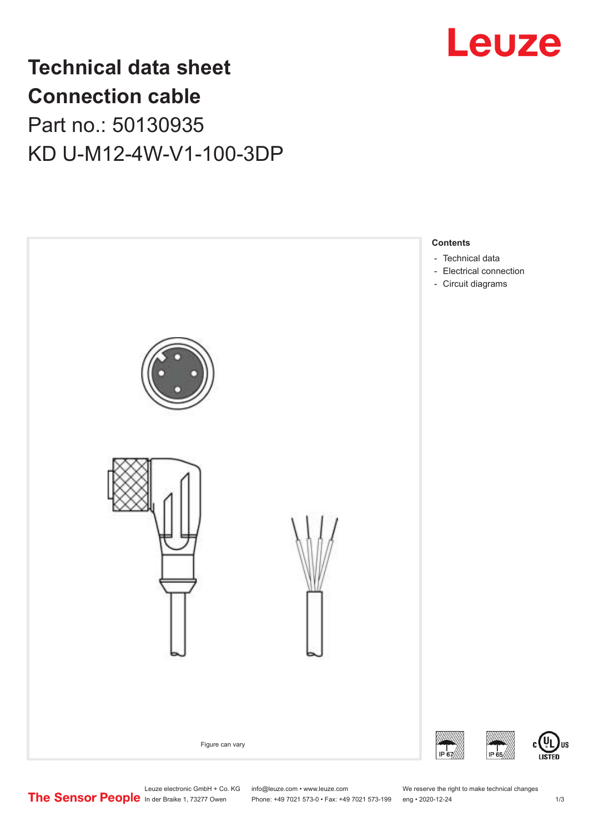

## **Technical data sheet Connection cable** Part no.: 50130935

KD U-M12-4W-V1-100-3DP



Leuze electronic GmbH + Co. KG info@leuze.com • www.leuze.com We reserve the right to make technical changes<br>
The Sensor People in der Braike 1, 73277 Owen Phone: +49 7021 573-0 • Fax: +49 7021 573-199 eng • 2020-12-24

Phone: +49 7021 573-0 • Fax: +49 7021 573-199 eng • 2020-12-24 1 2020-12-24

US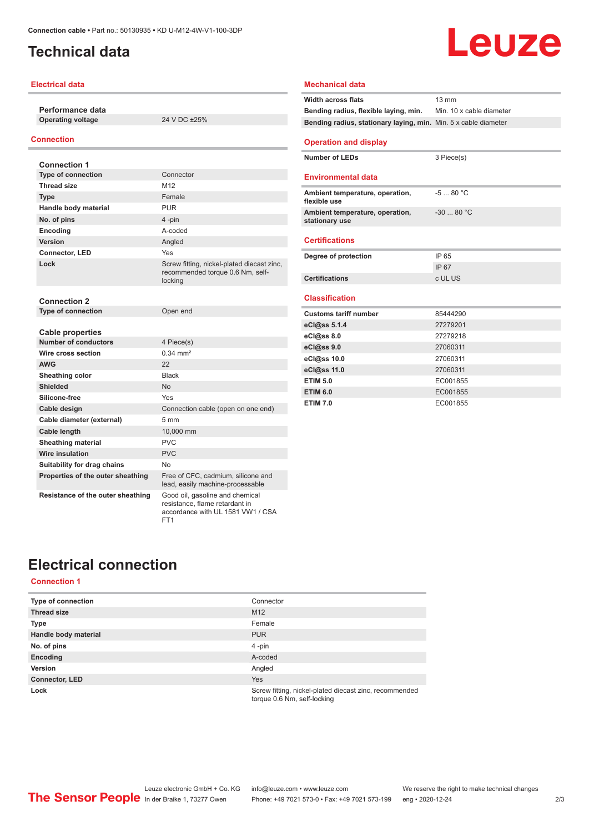## <span id="page-1-0"></span>**Technical data**

#### **Electrical data**

**Performance data Operating voltage** 24 V DC ±25%

#### **Connection**

| <b>Connection 1</b>               |                                                                                                        |
|-----------------------------------|--------------------------------------------------------------------------------------------------------|
| <b>Type of connection</b>         | Connector                                                                                              |
| <b>Thread size</b>                | M <sub>12</sub>                                                                                        |
| <b>Type</b>                       | Female                                                                                                 |
| Handle body material              | <b>PUR</b>                                                                                             |
| No. of pins                       | 4-pin                                                                                                  |
| Encoding                          | A-coded                                                                                                |
| Version                           | Angled                                                                                                 |
| <b>Connector, LED</b>             | <b>Yes</b>                                                                                             |
| Lock                              | Screw fitting, nickel-plated diecast zinc,<br>recommended torque 0.6 Nm, self-<br>locking              |
| <b>Connection 2</b>               |                                                                                                        |
| <b>Type of connection</b>         | Open end                                                                                               |
| <b>Cable properties</b>           |                                                                                                        |
| <b>Number of conductors</b>       | 4 Piece(s)                                                                                             |
| Wire cross section                | $0.34 \, \text{mm}^2$                                                                                  |
| <b>AWG</b>                        | 22                                                                                                     |
| Sheathing color                   | <b>Black</b>                                                                                           |
| Shielded                          | No                                                                                                     |
| Silicone-free                     | Yes                                                                                                    |
| Cable design                      | Connection cable (open on one end)                                                                     |
| Cable diameter (external)         | 5 <sub>mm</sub>                                                                                        |
| Cable length                      | 10,000 mm                                                                                              |
| <b>Sheathing material</b>         | <b>PVC</b>                                                                                             |
| Wire insulation                   | <b>PVC</b>                                                                                             |
| Suitability for drag chains       | No                                                                                                     |
| Properties of the outer sheathing | Free of CFC, cadmium, silicone and<br>lead, easily machine-processable                                 |
| Resistance of the outer sheathing | Good oil, gasoline and chemical<br>resistance, flame retardant in<br>accordance with UL 1581 VW1 / CSA |

FT1

# Leuze

#### **Mechanical data Width across flats** 13 mm **Bending radius, flexible laying, min.** Min. 10 x cable diameter **Bending radius, stationary laying, min.** Min. 5 x cable diameter **Operation and display Number of LEDs** 3 Piece(s) **Environmental data Ambient temperature, operation, flexible use** -5 ... 80 °C **Ambient temperature, operation, stationary use** -30 ... 80 °C **Certifications Degree of protection** IP 65 IP 67 **Certifications** c UL US **Classification Customs tariff number** 85444290 **eCl@ss 5.1.4** 27279201 **eCl@ss 8.0** 27279218 **eCl@ss 9.0** 27060311 **eCl@ss 10.0** 27060311 **eCl@ss 11.0** 27060311 **ETIM 5.0** EC001855 **ETIM 6.0** EC001855 **ETIM 7.0** EC001855

## **Electrical connection**

#### **Connection 1**

| Type of connection    | Connector                                                                             |
|-----------------------|---------------------------------------------------------------------------------------|
| <b>Thread size</b>    | M <sub>12</sub>                                                                       |
| <b>Type</b>           | Female                                                                                |
| Handle body material  | <b>PUR</b>                                                                            |
| No. of pins           | $4$ -pin                                                                              |
| Encoding              | A-coded                                                                               |
| Version               | Angled                                                                                |
| <b>Connector, LED</b> | <b>Yes</b>                                                                            |
| Lock                  | Screw fitting, nickel-plated diecast zinc, recommended<br>torque 0.6 Nm, self-locking |